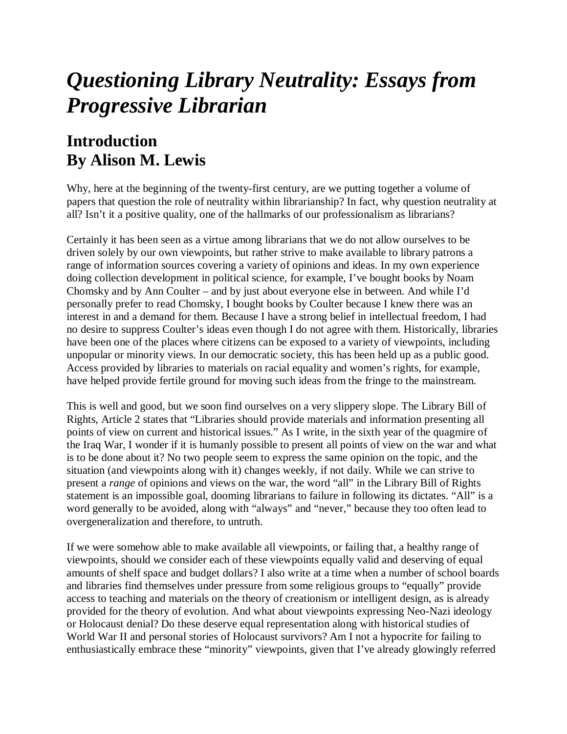## *Questioning Library Neutrality: Essays from Progressive Librarian*

## **Introduction By Alison M. Lewis**

Why, here at the beginning of the twenty-first century, are we putting together a volume of papers that question the role of neutrality within librarianship? In fact, why question neutrality at all? Isn't it a positive quality, one of the hallmarks of our professionalism as librarians?

Certainly it has been seen as a virtue among librarians that we do not allow ourselves to be driven solely by our own viewpoints, but rather strive to make available to library patrons a range of information sources covering a variety of opinions and ideas. In my own experience doing collection development in political science, for example, I've bought books by Noam Chomsky and by Ann Coulter – and by just about everyone else in between. And while I'd personally prefer to read Chomsky, I bought books by Coulter because I knew there was an interest in and a demand for them. Because I have a strong belief in intellectual freedom, I had no desire to suppress Coulter's ideas even though I do not agree with them. Historically, libraries have been one of the places where citizens can be exposed to a variety of viewpoints, including unpopular or minority views. In our democratic society, this has been held up as a public good. Access provided by libraries to materials on racial equality and women's rights, for example, have helped provide fertile ground for moving such ideas from the fringe to the mainstream.

This is well and good, but we soon find ourselves on a very slippery slope. The Library Bill of Rights, Article 2 states that "Libraries should provide materials and information presenting all points of view on current and historical issues." As I write, in the sixth year of the quagmire of the Iraq War, I wonder if it is humanly possible to present all points of view on the war and what is to be done about it? No two people seem to express the same opinion on the topic, and the situation (and viewpoints along with it) changes weekly, if not daily. While we can strive to present a *range* of opinions and views on the war, the word "all" in the Library Bill of Rights statement is an impossible goal, dooming librarians to failure in following its dictates. "All" is a word generally to be avoided, along with "always" and "never," because they too often lead to overgeneralization and therefore, to untruth.

If we were somehow able to make available all viewpoints, or failing that, a healthy range of viewpoints, should we consider each of these viewpoints equally valid and deserving of equal amounts of shelf space and budget dollars? I also write at a time when a number of school boards and libraries find themselves under pressure from some religious groups to "equally" provide access to teaching and materials on the theory of creationism or intelligent design, as is already provided for the theory of evolution. And what about viewpoints expressing Neo-Nazi ideology or Holocaust denial? Do these deserve equal representation along with historical studies of World War II and personal stories of Holocaust survivors? Am I not a hypocrite for failing to enthusiastically embrace these "minority" viewpoints, given that I've already glowingly referred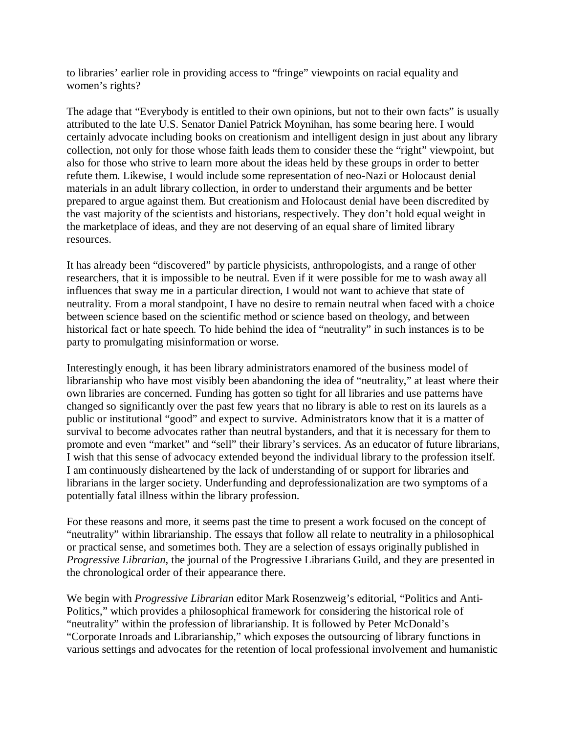to libraries' earlier role in providing access to "fringe" viewpoints on racial equality and women's rights?

The adage that "Everybody is entitled to their own opinions, but not to their own facts" is usually attributed to the late U.S. Senator Daniel Patrick Moynihan, has some bearing here. I would certainly advocate including books on creationism and intelligent design in just about any library collection, not only for those whose faith leads them to consider these the "right" viewpoint, but also for those who strive to learn more about the ideas held by these groups in order to better refute them. Likewise, I would include some representation of neo-Nazi or Holocaust denial materials in an adult library collection, in order to understand their arguments and be better prepared to argue against them. But creationism and Holocaust denial have been discredited by the vast majority of the scientists and historians, respectively. They don't hold equal weight in the marketplace of ideas, and they are not deserving of an equal share of limited library resources.

It has already been "discovered" by particle physicists, anthropologists, and a range of other researchers, that it is impossible to be neutral. Even if it were possible for me to wash away all influences that sway me in a particular direction, I would not want to achieve that state of neutrality. From a moral standpoint, I have no desire to remain neutral when faced with a choice between science based on the scientific method or science based on theology, and between historical fact or hate speech. To hide behind the idea of "neutrality" in such instances is to be party to promulgating misinformation or worse.

Interestingly enough, it has been library administrators enamored of the business model of librarianship who have most visibly been abandoning the idea of "neutrality," at least where their own libraries are concerned. Funding has gotten so tight for all libraries and use patterns have changed so significantly over the past few years that no library is able to rest on its laurels as a public or institutional "good" and expect to survive. Administrators know that it is a matter of survival to become advocates rather than neutral bystanders, and that it is necessary for them to promote and even "market" and "sell" their library's services. As an educator of future librarians, I wish that this sense of advocacy extended beyond the individual library to the profession itself. I am continuously disheartened by the lack of understanding of or support for libraries and librarians in the larger society. Underfunding and deprofessionalization are two symptoms of a potentially fatal illness within the library profession.

For these reasons and more, it seems past the time to present a work focused on the concept of "neutrality" within librarianship. The essays that follow all relate to neutrality in a philosophical or practical sense, and sometimes both. They are a selection of essays originally published in *Progressive Librarian*, the journal of the Progressive Librarians Guild, and they are presented in the chronological order of their appearance there.

We begin with *Progressive Librarian* editor Mark Rosenzweig's editorial, "Politics and Anti-Politics," which provides a philosophical framework for considering the historical role of "neutrality" within the profession of librarianship. It is followed by Peter McDonald's "Corporate Inroads and Librarianship," which exposes the outsourcing of library functions in various settings and advocates for the retention of local professional involvement and humanistic